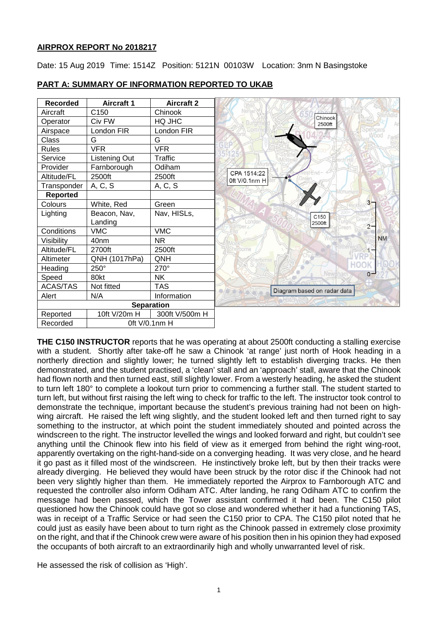## **AIRPROX REPORT No 2018217**

Date: 15 Aug 2019 Time: 1514Z Position: 5121N 00103W Location: 3nm N Basingstoke



## **PART A: SUMMARY OF INFORMATION REPORTED TO UKAB**

**THE C150 INSTRUCTOR** reports that he was operating at about 2500ft conducting a stalling exercise with a student. Shortly after take-off he saw a Chinook 'at range' just north of Hook heading in a northerly direction and slightly lower; he turned slightly left to establish diverging tracks. He then demonstrated, and the student practised, a 'clean' stall and an 'approach' stall, aware that the Chinook had flown north and then turned east, still slightly lower. From a westerly heading, he asked the student to turn left 180° to complete a lookout turn prior to commencing a further stall. The student started to turn left, but without first raising the left wing to check for traffic to the left. The instructor took control to demonstrate the technique, important because the student's previous training had not been on highwing aircraft. He raised the left wing slightly, and the student looked left and then turned right to say something to the instructor, at which point the student immediately shouted and pointed across the windscreen to the right. The instructor levelled the wings and looked forward and right, but couldn't see anything until the Chinook flew into his field of view as it emerged from behind the right wing-root, apparently overtaking on the right-hand-side on a converging heading. It was very close, and he heard it go past as it filled most of the windscreen. He instinctively broke left, but by then their tracks were already diverging. He believed they would have been struck by the rotor disc if the Chinook had not been very slightly higher than them. He immediately reported the Airprox to Farnborough ATC and requested the controller also inform Odiham ATC. After landing, he rang Odiham ATC to confirm the message had been passed, which the Tower assistant confirmed it had been. The C150 pilot questioned how the Chinook could have got so close and wondered whether it had a functioning TAS, was in receipt of a Traffic Service or had seen the C150 prior to CPA. The C150 pilot noted that he could just as easily have been about to turn right as the Chinook passed in extremely close proximity on the right, and that if the Chinook crew were aware of his position then in his opinion they had exposed the occupants of both aircraft to an extraordinarily high and wholly unwarranted level of risk.

He assessed the risk of collision as 'High'.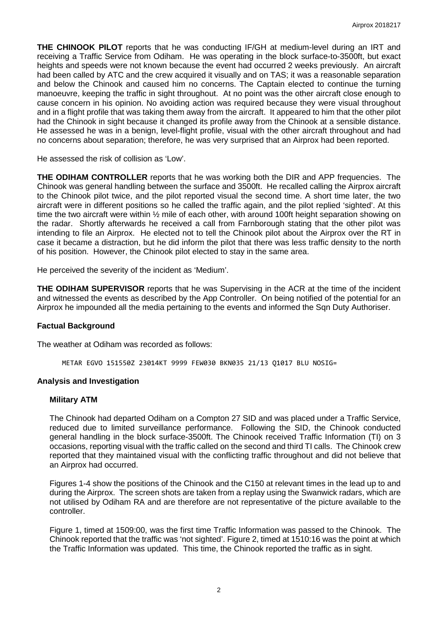**THE CHINOOK PILOT** reports that he was conducting IF/GH at medium-level during an IRT and receiving a Traffic Service from Odiham. He was operating in the block surface-to-3500ft, but exact heights and speeds were not known because the event had occurred 2 weeks previously. An aircraft had been called by ATC and the crew acquired it visually and on TAS; it was a reasonable separation and below the Chinook and caused him no concerns. The Captain elected to continue the turning manoeuvre, keeping the traffic in sight throughout. At no point was the other aircraft close enough to cause concern in his opinion. No avoiding action was required because they were visual throughout and in a flight profile that was taking them away from the aircraft. It appeared to him that the other pilot had the Chinook in sight because it changed its profile away from the Chinook at a sensible distance. He assessed he was in a benign, level-flight profile, visual with the other aircraft throughout and had no concerns about separation; therefore, he was very surprised that an Airprox had been reported.

He assessed the risk of collision as 'Low'.

**THE ODIHAM CONTROLLER** reports that he was working both the DIR and APP frequencies. The Chinook was general handling between the surface and 3500ft. He recalled calling the Airprox aircraft to the Chinook pilot twice, and the pilot reported visual the second time. A short time later, the two aircraft were in different positions so he called the traffic again, and the pilot replied 'sighted'. At this time the two aircraft were within  $\frac{1}{2}$  mile of each other, with around 100ft height separation showing on the radar. Shortly afterwards he received a call from Farnborough stating that the other pilot was intending to file an Airprox. He elected not to tell the Chinook pilot about the Airprox over the RT in case it became a distraction, but he did inform the pilot that there was less traffic density to the north of his position. However, the Chinook pilot elected to stay in the same area.

He perceived the severity of the incident as 'Medium'.

**THE ODIHAM SUPERVISOR** reports that he was Supervising in the ACR at the time of the incident and witnessed the events as described by the App Controller. On being notified of the potential for an Airprox he impounded all the media pertaining to the events and informed the Sqn Duty Authoriser.

#### **Factual Background**

The weather at Odiham was recorded as follows:

METAR EGVO 151550Z 23014KT 9999 FEW030 BKN035 21/13 Q1017 BLU NOSIG=

#### **Analysis and Investigation**

#### **Military ATM**

The Chinook had departed Odiham on a Compton 27 SID and was placed under a Traffic Service, reduced due to limited surveillance performance. Following the SID, the Chinook conducted general handling in the block surface-3500ft. The Chinook received Traffic Information (TI) on 3 occasions, reporting visual with the traffic called on the second and third TI calls. The Chinook crew reported that they maintained visual with the conflicting traffic throughout and did not believe that an Airprox had occurred.

Figures 1-4 show the positions of the Chinook and the C150 at relevant times in the lead up to and during the Airprox. The screen shots are taken from a replay using the Swanwick radars, which are not utilised by Odiham RA and are therefore are not representative of the picture available to the controller.

Figure 1, timed at 1509:00, was the first time Traffic Information was passed to the Chinook. The Chinook reported that the traffic was 'not sighted'. Figure 2, timed at 1510:16 was the point at which the Traffic Information was updated. This time, the Chinook reported the traffic as in sight.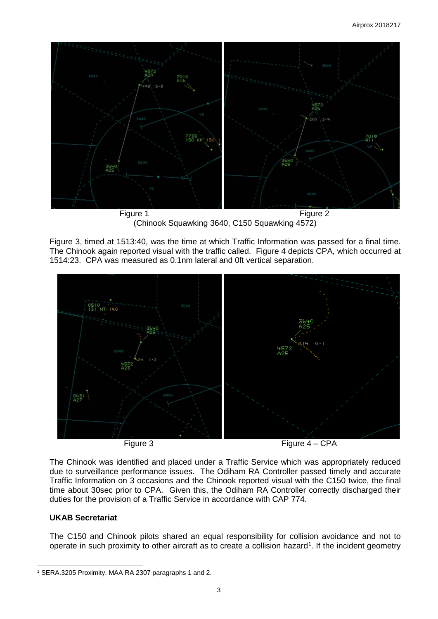

(Chinook Squawking 3640, C150 Squawking 4572)

Figure 3, timed at 1513:40, was the time at which Traffic Information was passed for a final time. The Chinook again reported visual with the traffic called. Figure 4 depicts CPA, which occurred at 1514:23. CPA was measured as 0.1nm lateral and 0ft vertical separation.



The Chinook was identified and placed under a Traffic Service which was appropriately reduced due to surveillance performance issues. The Odiham RA Controller passed timely and accurate Traffic Information on 3 occasions and the Chinook reported visual with the C150 twice, the final time about 30sec prior to CPA. Given this, the Odiham RA Controller correctly discharged their duties for the provision of a Traffic Service in accordance with CAP 774.

# **UKAB Secretariat**

 $\overline{\phantom{a}}$ 

The C150 and Chinook pilots shared an equal responsibility for collision avoidance and not to operate in such proximity to other aircraft as to create a collision hazard<sup>[1](#page-2-0)</sup>. If the incident geometry

<span id="page-2-0"></span><sup>1</sup> SERA.3205 Proximity. MAA RA 2307 paragraphs 1 and 2.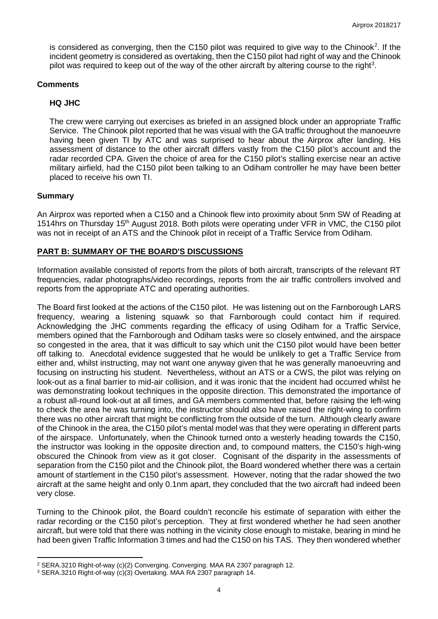is considered as converging, then the C150 pilot was required to give way to the Chinook<sup>[2](#page-3-0)</sup>. If the incident geometry is considered as overtaking, then the C150 pilot had right of way and the Chinook pilot was required to keep out of the way of the other aircraft by altering course to the right<sup>[3](#page-3-1)</sup>.

### **Comments**

## **HQ JHC**

The crew were carrying out exercises as briefed in an assigned block under an appropriate Traffic Service. The Chinook pilot reported that he was visual with the GA traffic throughout the manoeuvre having been given TI by ATC and was surprised to hear about the Airprox after landing. His assessment of distance to the other aircraft differs vastly from the C150 pilot's account and the radar recorded CPA. Given the choice of area for the C150 pilot's stalling exercise near an active military airfield, had the C150 pilot been talking to an Odiham controller he may have been better placed to receive his own TI.

#### **Summary**

l

An Airprox was reported when a C150 and a Chinook flew into proximity about 5nm SW of Reading at 1514hrs on Thursday 15th August 2018. Both pilots were operating under VFR in VMC, the C150 pilot was not in receipt of an ATS and the Chinook pilot in receipt of a Traffic Service from Odiham.

### **PART B: SUMMARY OF THE BOARD'S DISCUSSIONS**

Information available consisted of reports from the pilots of both aircraft, transcripts of the relevant RT frequencies, radar photographs/video recordings, reports from the air traffic controllers involved and reports from the appropriate ATC and operating authorities.

The Board first looked at the actions of the C150 pilot. He was listening out on the Farnborough LARS frequency, wearing a listening squawk so that Farnborough could contact him if required. Acknowledging the JHC comments regarding the efficacy of using Odiham for a Traffic Service, members opined that the Farnborough and Odiham tasks were so closely entwined, and the airspace so congested in the area, that it was difficult to say which unit the C150 pilot would have been better off talking to. Anecdotal evidence suggested that he would be unlikely to get a Traffic Service from either and, whilst instructing, may not want one anyway given that he was generally manoeuvring and focusing on instructing his student. Nevertheless, without an ATS or a CWS, the pilot was relying on look-out as a final barrier to mid-air collision, and it was ironic that the incident had occurred whilst he was demonstrating lookout techniques in the opposite direction. This demonstrated the importance of a robust all-round look-out at all times, and GA members commented that, before raising the left-wing to check the area he was turning into, the instructor should also have raised the right-wing to confirm there was no other aircraft that might be conflicting from the outside of the turn. Although clearly aware of the Chinook in the area, the C150 pilot's mental model was that they were operating in different parts of the airspace. Unfortunately, when the Chinook turned onto a westerly heading towards the C150, the instructor was looking in the opposite direction and, to compound matters, the C150's high-wing obscured the Chinook from view as it got closer. Cognisant of the disparity in the assessments of separation from the C150 pilot and the Chinook pilot, the Board wondered whether there was a certain amount of startlement in the C150 pilot's assessment. However, noting that the radar showed the two aircraft at the same height and only 0.1nm apart, they concluded that the two aircraft had indeed been very close.

Turning to the Chinook pilot, the Board couldn't reconcile his estimate of separation with either the radar recording or the C150 pilot's perception. They at first wondered whether he had seen another aircraft, but were told that there was nothing in the vicinity close enough to mistake, bearing in mind he had been given Traffic Information 3 times and had the C150 on his TAS. They then wondered whether

<span id="page-3-0"></span><sup>2</sup> SERA.3210 Right-of-way (c)(2) Converging. Converging. MAA RA 2307 paragraph 12.

<span id="page-3-1"></span><sup>3</sup> SERA.3210 Right-of-way (c)(3) Overtaking. MAA RA 2307 paragraph 14.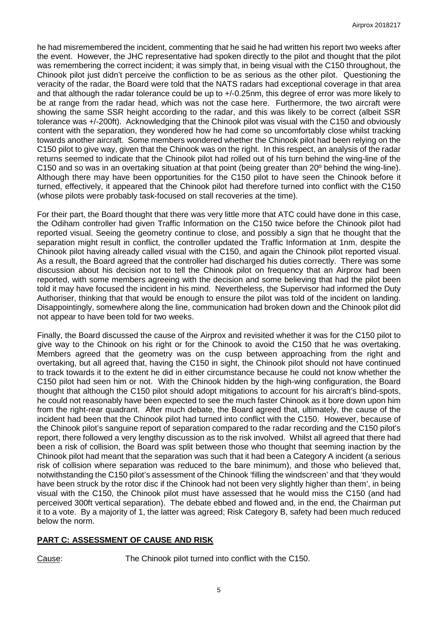he had misremembered the incident, commenting that he said he had written his report two weeks after the event. However, the JHC representative had spoken directly to the pilot and thought that the pilot was remembering the correct incident; it was simply that, in being visual with the C150 throughout, the Chinook pilot just didn't perceive the confliction to be as serious as the other pilot. Questioning the veracity of the radar, the Board were told that the NATS radars had exceptional coverage in that area and that although the radar tolerance could be up to +/-0.25nm, this degree of error was more likely to be at range from the radar head, which was not the case here. Furthermore, the two aircraft were showing the same SSR height according to the radar, and this was likely to be correct (albeit SSR tolerance was +/-200ft). Acknowledging that the Chinook pilot was visual with the C150 and obviously content with the separation, they wondered how he had come so uncomfortably close whilst tracking towards another aircraft. Some members wondered whether the Chinook pilot had been relying on the C150 pilot to give way, given that the Chinook was on the right. In this respect, an analysis of the radar returns seemed to indicate that the Chinook pilot had rolled out of his turn behind the wing-line of the C150 and so was in an overtaking situation at that point (being greater than 20º behind the wing-line). Although there may have been opportunities for the C150 pilot to have seen the Chinook before it turned, effectively, it appeared that the Chinook pilot had therefore turned into conflict with the C150 (whose pilots were probably task-focused on stall recoveries at the time).

For their part, the Board thought that there was very little more that ATC could have done in this case, the Odiham controller had given Traffic Information on the C150 twice before the Chinook pilot had reported visual. Seeing the geometry continue to close, and possibly a sign that he thought that the separation might result in conflict, the controller updated the Traffic Information at 1nm, despite the Chinook pilot having already called visual with the C150, and again the Chinook pilot reported visual. As a result, the Board agreed that the controller had discharged his duties correctly. There was some discussion about his decision not to tell the Chinook pilot on frequency that an Airprox had been reported, with some members agreeing with the decision and some believing that had the pilot been told it may have focused the incident in his mind. Nevertheless, the Supervisor had informed the Duty Authoriser, thinking that that would be enough to ensure the pilot was told of the incident on landing. Disappointingly, somewhere along the line, communication had broken down and the Chinook pilot did not appear to have been told for two weeks.

Finally, the Board discussed the cause of the Airprox and revisited whether it was for the C150 pilot to give way to the Chinook on his right or for the Chinook to avoid the C150 that he was overtaking. Members agreed that the geometry was on the cusp between approaching from the right and overtaking, but all agreed that, having the C150 in sight, the Chinook pilot should not have continued to track towards it to the extent he did in either circumstance because he could not know whether the C150 pilot had seen him or not. With the Chinook hidden by the high-wing configuration, the Board thought that although the C150 pilot should adopt mitigations to account for his aircraft's blind-spots, he could not reasonably have been expected to see the much faster Chinook as it bore down upon him from the right-rear quadrant. After much debate, the Board agreed that, ultimately, the cause of the incident had been that the Chinook pilot had turned into conflict with the C150. However, because of the Chinook pilot's sanguine report of separation compared to the radar recording and the C150 pilot's report, there followed a very lengthy discussion as to the risk involved. Whilst all agreed that there had been a risk of collision, the Board was split between those who thought that seeming inaction by the Chinook pilot had meant that the separation was such that it had been a Category A incident (a serious risk of collision where separation was reduced to the bare minimum), and those who believed that, notwithstanding the C150 pilot's assessment of the Chinook 'filling the windscreen' and that 'they would have been struck by the rotor disc if the Chinook had not been very slightly higher than them', in being visual with the C150, the Chinook pilot must have assessed that he would miss the C150 (and had perceived 300ft vertical separation). The debate ebbed and flowed and, in the end, the Chairman put it to a vote. By a majority of 1, the latter was agreed; Risk Category B, safety had been much reduced below the norm.

# **PART C: ASSESSMENT OF CAUSE AND RISK**

Cause: The Chinook pilot turned into conflict with the C150.